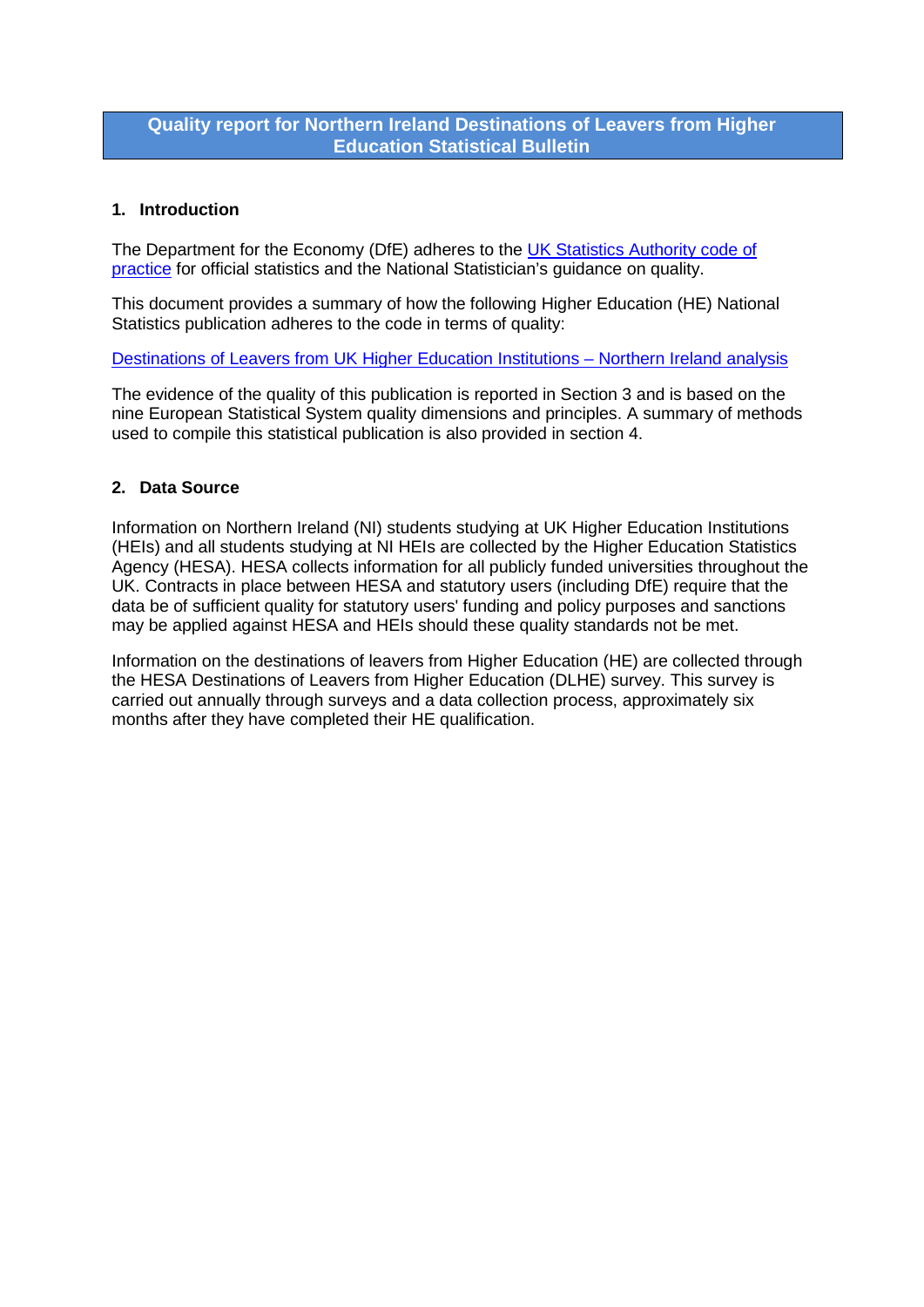# **Quality report for Northern Ireland Destinations of Leavers from Higher Education Statistical Bulletin**

## **1. Introduction**

The Department for the Economy (DfE) adheres to the UK Statistics Authority code of [practice](http://www.statisticsauthority.gov.uk/assessment/code-of-practice/) for official statistics and the National Statistician's guidance on quality.

This document provides a summary of how the following Higher Education (HE) National Statistics publication adheres to the code in terms of quality:

[Destinations of Leavers from UK Higher Education Institutions –](http://www.delni.gov.uk/index/statsandresearch/higher-education-stats/he_destination_of_leavers.htm) Northern Ireland analysis

The evidence of the quality of this publication is reported in Section 3 and is based on the nine European Statistical System quality dimensions and principles. A summary of methods used to compile this statistical publication is also provided in section 4.

### **2. Data Source**

Information on Northern Ireland (NI) students studying at UK Higher Education Institutions (HEIs) and all students studying at NI HEIs are collected by the Higher Education Statistics Agency (HESA). HESA collects information for all publicly funded universities throughout the UK. Contracts in place between HESA and statutory users (including DfE) require that the data be of sufficient quality for statutory users' funding and policy purposes and sanctions may be applied against HESA and HEIs should these quality standards not be met.

Information on the destinations of leavers from Higher Education (HE) are collected through the HESA Destinations of Leavers from Higher Education (DLHE) survey. This survey is carried out annually through surveys and a data collection process, approximately six months after they have completed their HE qualification.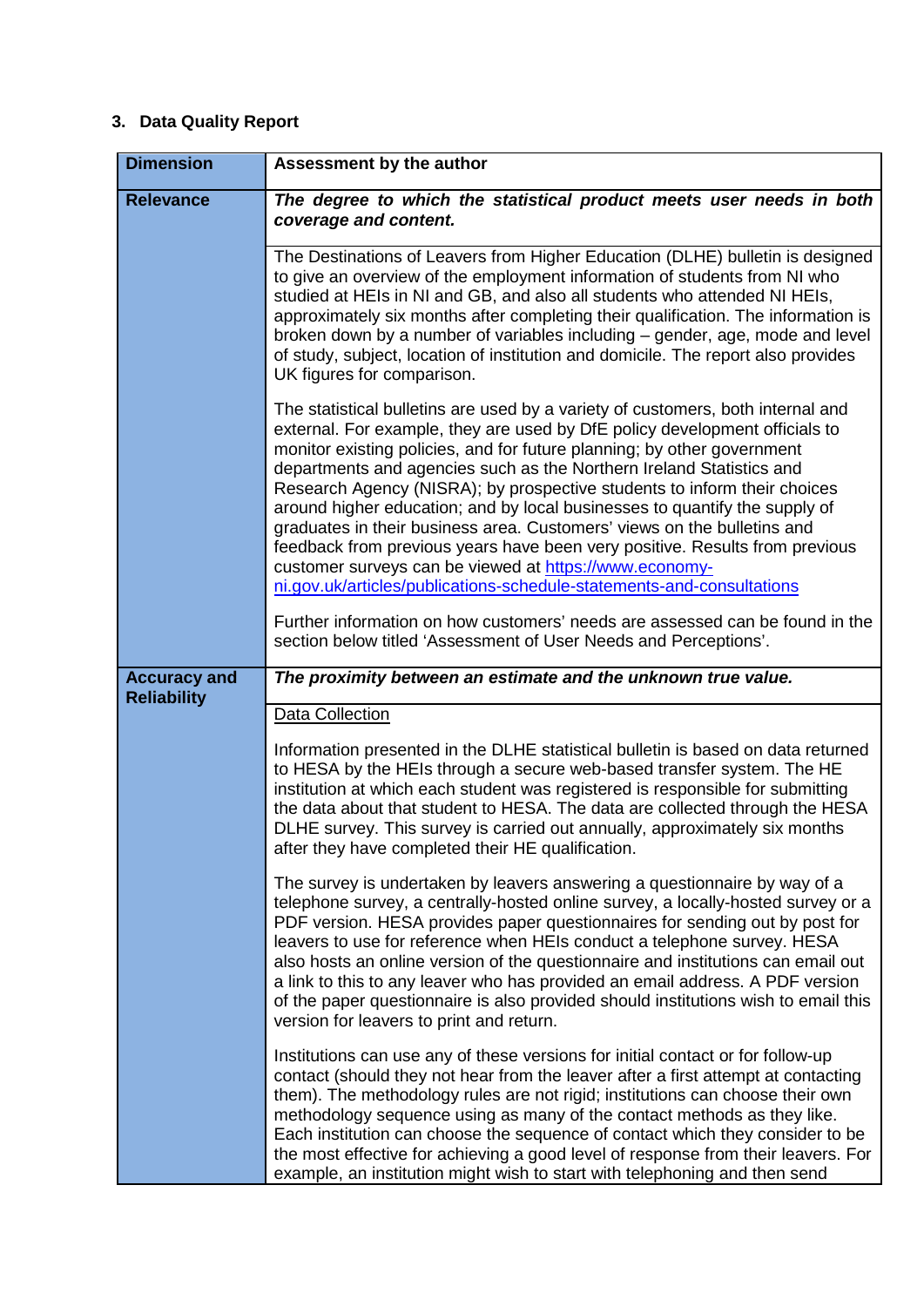# **3. Data Quality Report**

| <b>Dimension</b>                          | Assessment by the author                                                                                                                                                                                                                                                                                                                                                                                                                                                                                                                                                                                                                                                                                                                                                 |
|-------------------------------------------|--------------------------------------------------------------------------------------------------------------------------------------------------------------------------------------------------------------------------------------------------------------------------------------------------------------------------------------------------------------------------------------------------------------------------------------------------------------------------------------------------------------------------------------------------------------------------------------------------------------------------------------------------------------------------------------------------------------------------------------------------------------------------|
| <b>Relevance</b>                          | The degree to which the statistical product meets user needs in both<br>coverage and content.                                                                                                                                                                                                                                                                                                                                                                                                                                                                                                                                                                                                                                                                            |
|                                           | The Destinations of Leavers from Higher Education (DLHE) bulletin is designed<br>to give an overview of the employment information of students from NI who<br>studied at HEIs in NI and GB, and also all students who attended NI HEIs,<br>approximately six months after completing their qualification. The information is<br>broken down by a number of variables including - gender, age, mode and level<br>of study, subject, location of institution and domicile. The report also provides<br>UK figures for comparison.                                                                                                                                                                                                                                          |
|                                           | The statistical bulletins are used by a variety of customers, both internal and<br>external. For example, they are used by DfE policy development officials to<br>monitor existing policies, and for future planning; by other government<br>departments and agencies such as the Northern Ireland Statistics and<br>Research Agency (NISRA); by prospective students to inform their choices<br>around higher education; and by local businesses to quantify the supply of<br>graduates in their business area. Customers' views on the bulletins and<br>feedback from previous years have been very positive. Results from previous<br>customer surveys can be viewed at https://www.economy-<br>ni.gov.uk/articles/publications-schedule-statements-and-consultations |
|                                           | Further information on how customers' needs are assessed can be found in the<br>section below titled 'Assessment of User Needs and Perceptions'.                                                                                                                                                                                                                                                                                                                                                                                                                                                                                                                                                                                                                         |
| <b>Accuracy and</b><br><b>Reliability</b> | The proximity between an estimate and the unknown true value.                                                                                                                                                                                                                                                                                                                                                                                                                                                                                                                                                                                                                                                                                                            |
|                                           | Data Collection                                                                                                                                                                                                                                                                                                                                                                                                                                                                                                                                                                                                                                                                                                                                                          |
|                                           | Information presented in the DLHE statistical bulletin is based on data returned<br>to HESA by the HEIs through a secure web-based transfer system. The HE<br>institution at which each student was registered is responsible for submitting<br>the data about that student to HESA. The data are collected through the HESA<br>DLHE survey. This survey is carried out annually, approximately six months<br>after they have completed their HE qualification.                                                                                                                                                                                                                                                                                                          |
|                                           | The survey is undertaken by leavers answering a questionnaire by way of a<br>telephone survey, a centrally-hosted online survey, a locally-hosted survey or a<br>PDF version. HESA provides paper questionnaires for sending out by post for<br>leavers to use for reference when HEIs conduct a telephone survey. HESA<br>also hosts an online version of the questionnaire and institutions can email out<br>a link to this to any leaver who has provided an email address. A PDF version<br>of the paper questionnaire is also provided should institutions wish to email this<br>version for leavers to print and return.                                                                                                                                           |
|                                           | Institutions can use any of these versions for initial contact or for follow-up<br>contact (should they not hear from the leaver after a first attempt at contacting<br>them). The methodology rules are not rigid; institutions can choose their own<br>methodology sequence using as many of the contact methods as they like.<br>Each institution can choose the sequence of contact which they consider to be<br>the most effective for achieving a good level of response from their leavers. For<br>example, an institution might wish to start with telephoning and then send                                                                                                                                                                                     |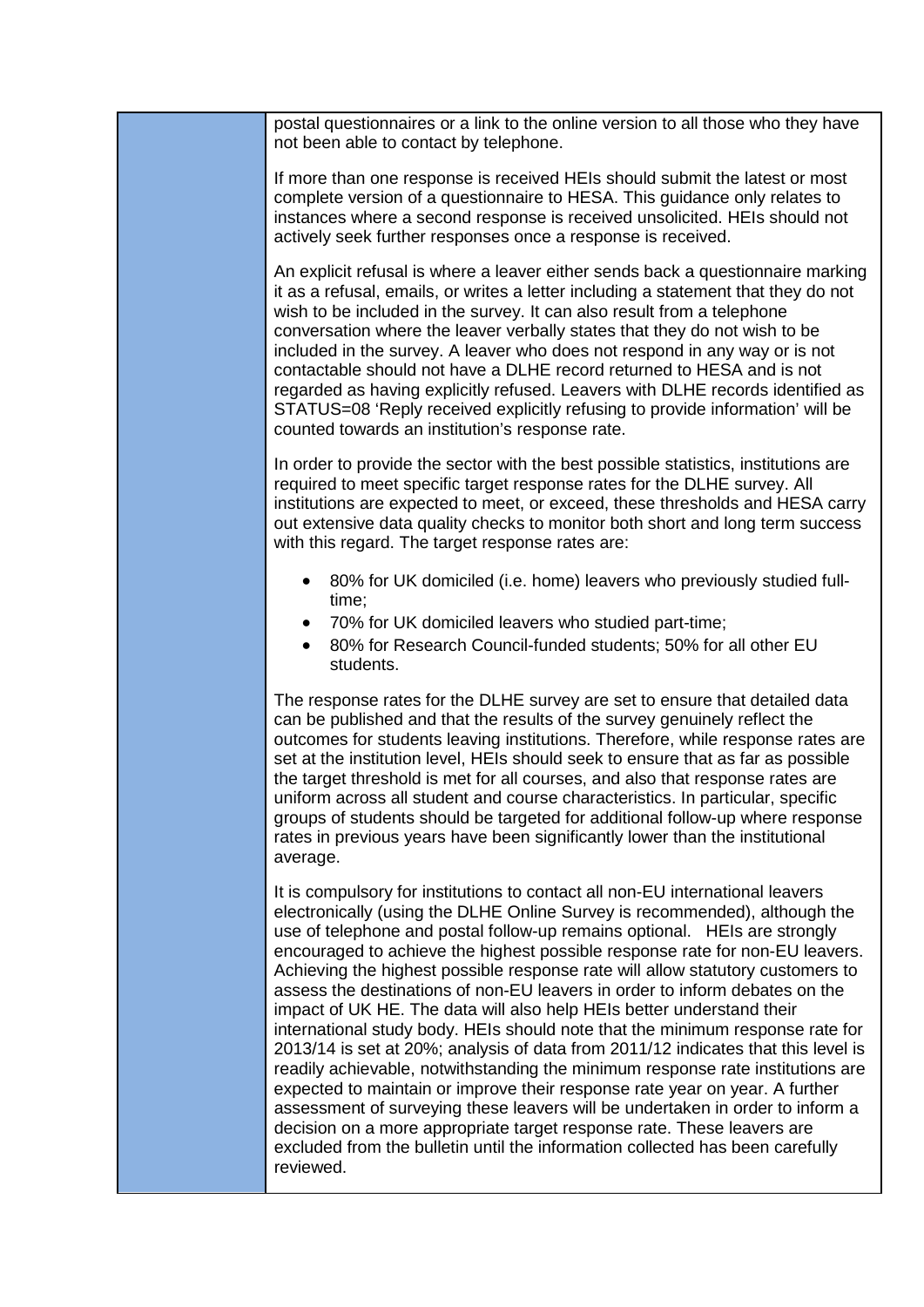| postal questionnaires or a link to the online version to all those who they have<br>not been able to contact by telephone.                                                                                                                                                                                                                                                                                                                                                                                                                                                                                                                                                                                                                                                                                                                                                                                                                                                                                                                                                                                                                                         |
|--------------------------------------------------------------------------------------------------------------------------------------------------------------------------------------------------------------------------------------------------------------------------------------------------------------------------------------------------------------------------------------------------------------------------------------------------------------------------------------------------------------------------------------------------------------------------------------------------------------------------------------------------------------------------------------------------------------------------------------------------------------------------------------------------------------------------------------------------------------------------------------------------------------------------------------------------------------------------------------------------------------------------------------------------------------------------------------------------------------------------------------------------------------------|
| If more than one response is received HEIs should submit the latest or most<br>complete version of a questionnaire to HESA. This guidance only relates to<br>instances where a second response is received unsolicited. HEIs should not<br>actively seek further responses once a response is received.                                                                                                                                                                                                                                                                                                                                                                                                                                                                                                                                                                                                                                                                                                                                                                                                                                                            |
| An explicit refusal is where a leaver either sends back a questionnaire marking<br>it as a refusal, emails, or writes a letter including a statement that they do not<br>wish to be included in the survey. It can also result from a telephone<br>conversation where the leaver verbally states that they do not wish to be<br>included in the survey. A leaver who does not respond in any way or is not<br>contactable should not have a DLHE record returned to HESA and is not<br>regarded as having explicitly refused. Leavers with DLHE records identified as<br>STATUS=08 'Reply received explicitly refusing to provide information' will be<br>counted towards an institution's response rate.                                                                                                                                                                                                                                                                                                                                                                                                                                                          |
| In order to provide the sector with the best possible statistics, institutions are<br>required to meet specific target response rates for the DLHE survey. All<br>institutions are expected to meet, or exceed, these thresholds and HESA carry<br>out extensive data quality checks to monitor both short and long term success<br>with this regard. The target response rates are:                                                                                                                                                                                                                                                                                                                                                                                                                                                                                                                                                                                                                                                                                                                                                                               |
| 80% for UK domiciled (i.e. home) leavers who previously studied full-<br>٠<br>time;                                                                                                                                                                                                                                                                                                                                                                                                                                                                                                                                                                                                                                                                                                                                                                                                                                                                                                                                                                                                                                                                                |
| 70% for UK domiciled leavers who studied part-time;<br>$\bullet$<br>80% for Research Council-funded students; 50% for all other EU<br>students.                                                                                                                                                                                                                                                                                                                                                                                                                                                                                                                                                                                                                                                                                                                                                                                                                                                                                                                                                                                                                    |
| The response rates for the DLHE survey are set to ensure that detailed data<br>can be published and that the results of the survey genuinely reflect the<br>outcomes for students leaving institutions. Therefore, while response rates are<br>set at the institution level, HEIs should seek to ensure that as far as possible<br>the target threshold is met for all courses, and also that response rates are<br>uniform across all student and course characteristics. In particular, specific<br>groups of students should be targeted for additional follow-up where response<br>rates in previous years have been significantly lower than the institutional<br>average.                                                                                                                                                                                                                                                                                                                                                                                                                                                                                    |
| It is compulsory for institutions to contact all non-EU international leavers<br>electronically (using the DLHE Online Survey is recommended), although the<br>use of telephone and postal follow-up remains optional. HEIs are strongly<br>encouraged to achieve the highest possible response rate for non-EU leavers.<br>Achieving the highest possible response rate will allow statutory customers to<br>assess the destinations of non-EU leavers in order to inform debates on the<br>impact of UK HE. The data will also help HEIs better understand their<br>international study body. HEIs should note that the minimum response rate for<br>2013/14 is set at 20%; analysis of data from 2011/12 indicates that this level is<br>readily achievable, notwithstanding the minimum response rate institutions are<br>expected to maintain or improve their response rate year on year. A further<br>assessment of surveying these leavers will be undertaken in order to inform a<br>decision on a more appropriate target response rate. These leavers are<br>excluded from the bulletin until the information collected has been carefully<br>reviewed. |
|                                                                                                                                                                                                                                                                                                                                                                                                                                                                                                                                                                                                                                                                                                                                                                                                                                                                                                                                                                                                                                                                                                                                                                    |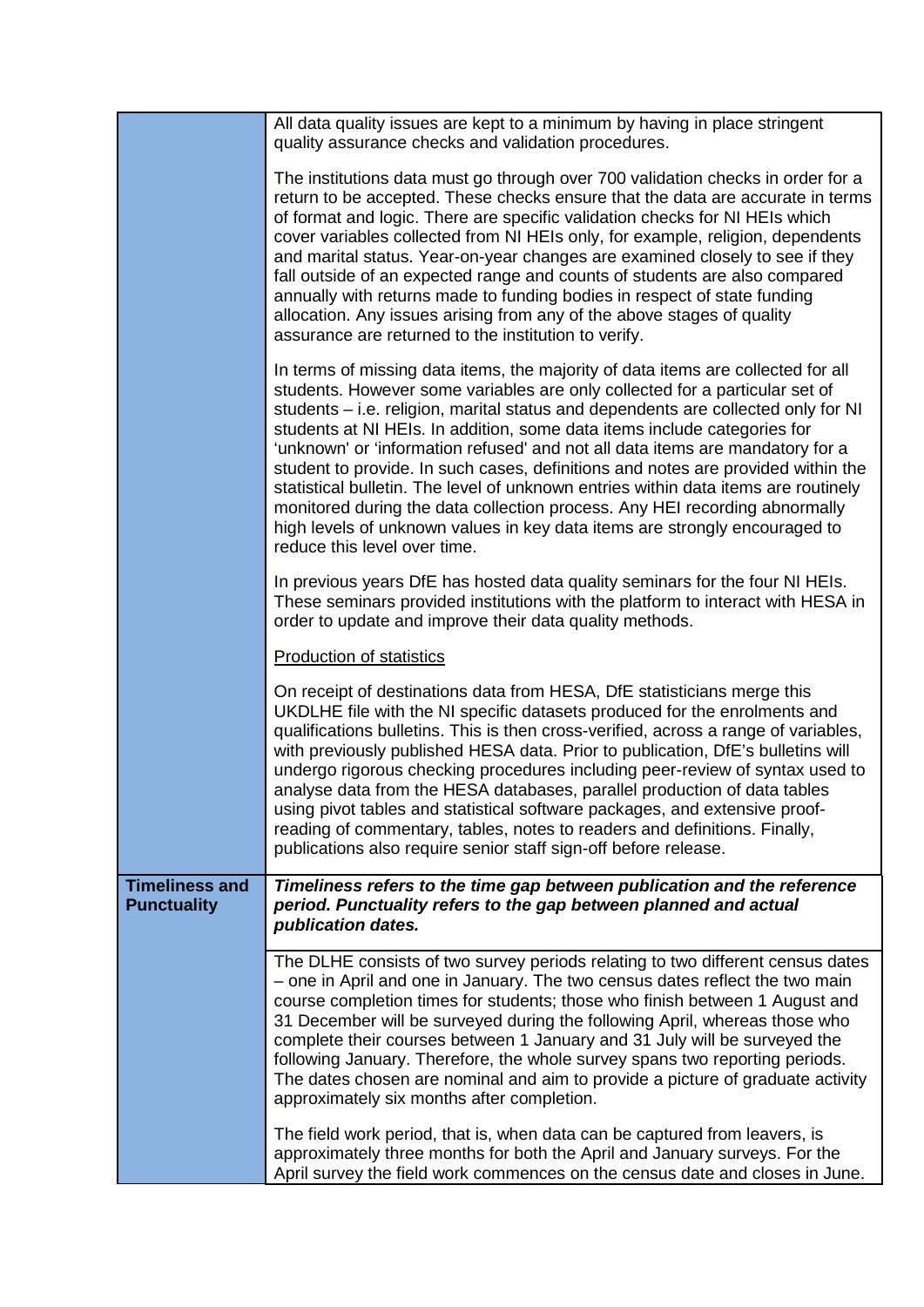|                                             | All data quality issues are kept to a minimum by having in place stringent<br>quality assurance checks and validation procedures.                                                                                                                                                                                                                                                                                                                                                                                                                                                                                                                                                                                                                                                       |
|---------------------------------------------|-----------------------------------------------------------------------------------------------------------------------------------------------------------------------------------------------------------------------------------------------------------------------------------------------------------------------------------------------------------------------------------------------------------------------------------------------------------------------------------------------------------------------------------------------------------------------------------------------------------------------------------------------------------------------------------------------------------------------------------------------------------------------------------------|
|                                             | The institutions data must go through over 700 validation checks in order for a<br>return to be accepted. These checks ensure that the data are accurate in terms<br>of format and logic. There are specific validation checks for NI HEIs which<br>cover variables collected from NI HEIs only, for example, religion, dependents<br>and marital status. Year-on-year changes are examined closely to see if they<br>fall outside of an expected range and counts of students are also compared<br>annually with returns made to funding bodies in respect of state funding<br>allocation. Any issues arising from any of the above stages of quality<br>assurance are returned to the institution to verify.                                                                          |
|                                             | In terms of missing data items, the majority of data items are collected for all<br>students. However some variables are only collected for a particular set of<br>students – i.e. religion, marital status and dependents are collected only for NI<br>students at NI HEIs. In addition, some data items include categories for<br>'unknown' or 'information refused' and not all data items are mandatory for a<br>student to provide. In such cases, definitions and notes are provided within the<br>statistical bulletin. The level of unknown entries within data items are routinely<br>monitored during the data collection process. Any HEI recording abnormally<br>high levels of unknown values in key data items are strongly encouraged to<br>reduce this level over time. |
|                                             | In previous years DfE has hosted data quality seminars for the four NI HEIs.<br>These seminars provided institutions with the platform to interact with HESA in<br>order to update and improve their data quality methods.                                                                                                                                                                                                                                                                                                                                                                                                                                                                                                                                                              |
|                                             | <b>Production of statistics</b>                                                                                                                                                                                                                                                                                                                                                                                                                                                                                                                                                                                                                                                                                                                                                         |
|                                             | On receipt of destinations data from HESA, DfE statisticians merge this<br>UKDLHE file with the NI specific datasets produced for the enrolments and<br>qualifications bulletins. This is then cross-verified, across a range of variables,<br>with previously published HESA data. Prior to publication, DfE's bulletins will<br>undergo rigorous checking procedures including peer-review of syntax used to<br>analyse data from the HESA databases, parallel production of data tables<br>using pivot tables and statistical software packages, and extensive proof-<br>reading of commentary, tables, notes to readers and definitions. Finally,<br>publications also require senior staff sign-off before release.                                                                |
| <b>Timeliness and</b><br><b>Punctuality</b> | Timeliness refers to the time gap between publication and the reference<br>period. Punctuality refers to the gap between planned and actual<br>publication dates.                                                                                                                                                                                                                                                                                                                                                                                                                                                                                                                                                                                                                       |
|                                             | The DLHE consists of two survey periods relating to two different census dates<br>- one in April and one in January. The two census dates reflect the two main<br>course completion times for students; those who finish between 1 August and<br>31 December will be surveyed during the following April, whereas those who<br>complete their courses between 1 January and 31 July will be surveyed the<br>following January. Therefore, the whole survey spans two reporting periods.<br>The dates chosen are nominal and aim to provide a picture of graduate activity<br>approximately six months after completion.                                                                                                                                                                 |
|                                             | The field work period, that is, when data can be captured from leavers, is<br>approximately three months for both the April and January surveys. For the<br>April survey the field work commences on the census date and closes in June.                                                                                                                                                                                                                                                                                                                                                                                                                                                                                                                                                |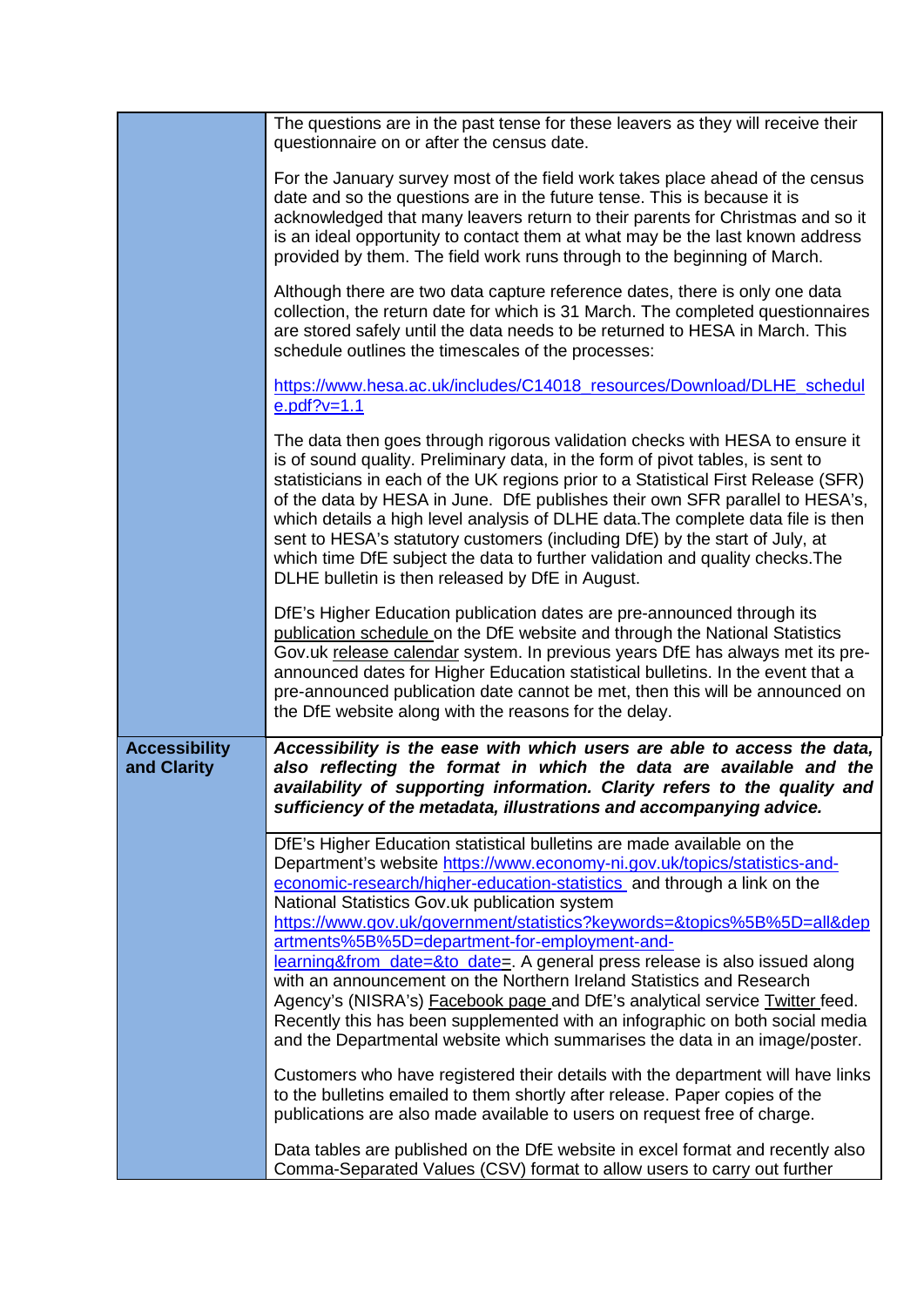|                                     | The questions are in the past tense for these leavers as they will receive their<br>questionnaire on or after the census date.                                                                                                                                                                                                                                                                                                                                                                                                                                                                                                                                                                                                                                                                                                                                                                                                                                                                                                                                                                                                                        |
|-------------------------------------|-------------------------------------------------------------------------------------------------------------------------------------------------------------------------------------------------------------------------------------------------------------------------------------------------------------------------------------------------------------------------------------------------------------------------------------------------------------------------------------------------------------------------------------------------------------------------------------------------------------------------------------------------------------------------------------------------------------------------------------------------------------------------------------------------------------------------------------------------------------------------------------------------------------------------------------------------------------------------------------------------------------------------------------------------------------------------------------------------------------------------------------------------------|
|                                     | For the January survey most of the field work takes place ahead of the census<br>date and so the questions are in the future tense. This is because it is<br>acknowledged that many leavers return to their parents for Christmas and so it<br>is an ideal opportunity to contact them at what may be the last known address<br>provided by them. The field work runs through to the beginning of March.                                                                                                                                                                                                                                                                                                                                                                                                                                                                                                                                                                                                                                                                                                                                              |
|                                     | Although there are two data capture reference dates, there is only one data<br>collection, the return date for which is 31 March. The completed questionnaires<br>are stored safely until the data needs to be returned to HESA in March. This<br>schedule outlines the timescales of the processes:                                                                                                                                                                                                                                                                                                                                                                                                                                                                                                                                                                                                                                                                                                                                                                                                                                                  |
|                                     | https://www.hesa.ac.uk/includes/C14018_resources/Download/DLHE_schedul<br>$e.pdf?v=1.1$                                                                                                                                                                                                                                                                                                                                                                                                                                                                                                                                                                                                                                                                                                                                                                                                                                                                                                                                                                                                                                                               |
|                                     | The data then goes through rigorous validation checks with HESA to ensure it<br>is of sound quality. Preliminary data, in the form of pivot tables, is sent to<br>statisticians in each of the UK regions prior to a Statistical First Release (SFR)<br>of the data by HESA in June. DfE publishes their own SFR parallel to HESA's,<br>which details a high level analysis of DLHE data. The complete data file is then<br>sent to HESA's statutory customers (including DfE) by the start of July, at<br>which time DfE subject the data to further validation and quality checks. The<br>DLHE bulletin is then released by DfE in August.                                                                                                                                                                                                                                                                                                                                                                                                                                                                                                          |
|                                     | DfE's Higher Education publication dates are pre-announced through its<br>publication schedule on the DfE website and through the National Statistics<br>Gov.uk release calendar system. In previous years DfE has always met its pre-<br>announced dates for Higher Education statistical bulletins. In the event that a<br>pre-announced publication date cannot be met, then this will be announced on<br>the DfE website along with the reasons for the delay.                                                                                                                                                                                                                                                                                                                                                                                                                                                                                                                                                                                                                                                                                    |
| <b>Accessibility</b><br>and Clarity | Accessibility is the ease with which users are able to access the data,<br>also reflecting the format in which the data are available and the<br>availability of supporting information. Clarity refers to the quality and<br>sufficiency of the metadata, illustrations and accompanying advice.                                                                                                                                                                                                                                                                                                                                                                                                                                                                                                                                                                                                                                                                                                                                                                                                                                                     |
|                                     | DfE's Higher Education statistical bulletins are made available on the<br>Department's website https://www.economy-ni.gov.uk/topics/statistics-and-<br>economic-research/higher-education-statistics and through a link on the<br>National Statistics Gov.uk publication system<br>https://www.gov.uk/government/statistics?keywords=&topics%5B%5D=all&dep<br>artments%5B%5D=department-for-employment-and-<br>learning&from_date=&to_date=. A general press release is also issued along<br>with an announcement on the Northern Ireland Statistics and Research<br>Agency's (NISRA's) <b>Facebook page and DfE's analytical service Twitter feed.</b><br>Recently this has been supplemented with an infographic on both social media<br>and the Departmental website which summarises the data in an image/poster.<br>Customers who have registered their details with the department will have links<br>to the bulletins emailed to them shortly after release. Paper copies of the<br>publications are also made available to users on request free of charge.<br>Data tables are published on the DfE website in excel format and recently also |
|                                     | Comma-Separated Values (CSV) format to allow users to carry out further                                                                                                                                                                                                                                                                                                                                                                                                                                                                                                                                                                                                                                                                                                                                                                                                                                                                                                                                                                                                                                                                               |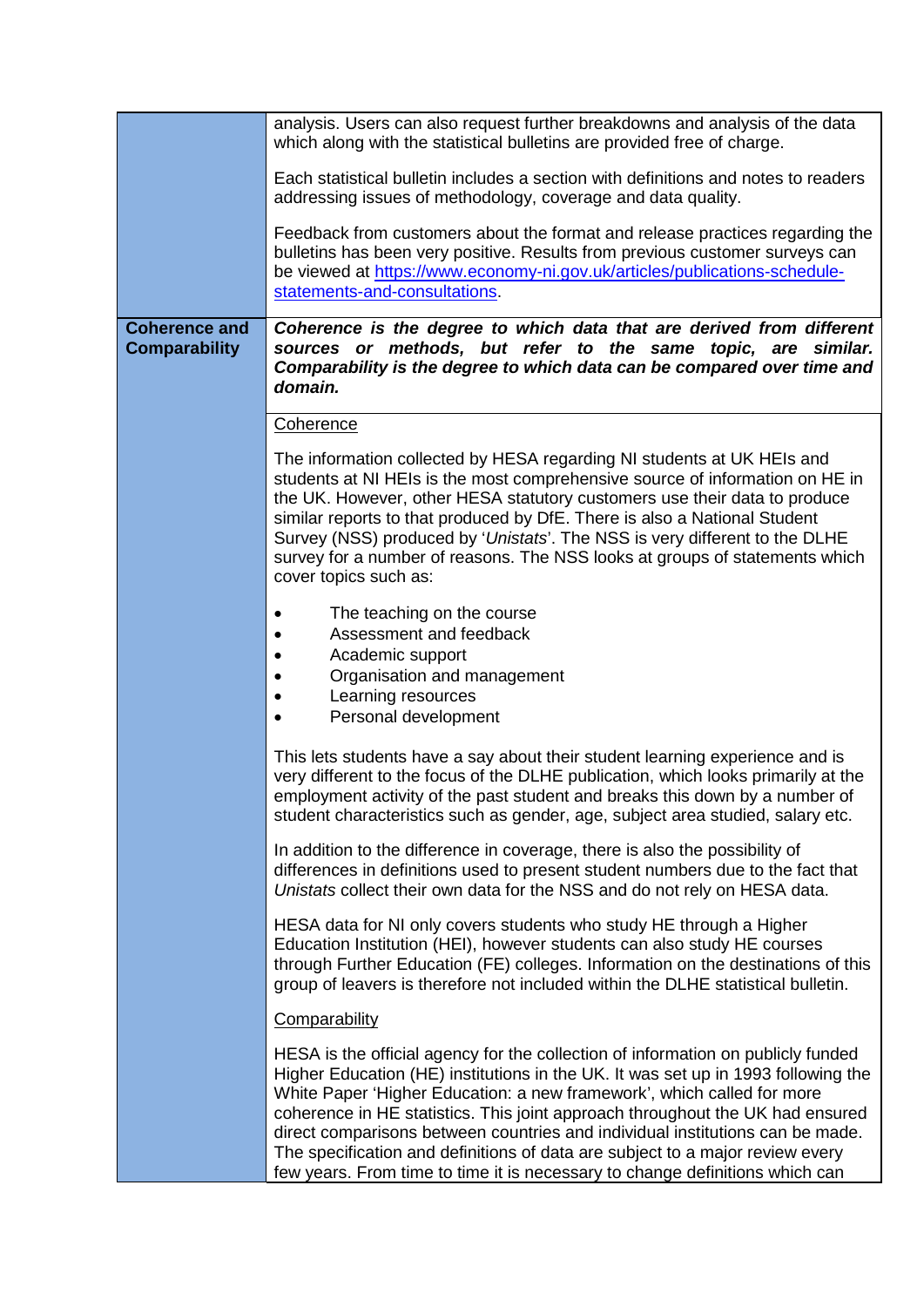|                                              | analysis. Users can also request further breakdowns and analysis of the data<br>which along with the statistical bulletins are provided free of charge.                                                                                                                                                                                                                                                                                                                                                                                                                            |
|----------------------------------------------|------------------------------------------------------------------------------------------------------------------------------------------------------------------------------------------------------------------------------------------------------------------------------------------------------------------------------------------------------------------------------------------------------------------------------------------------------------------------------------------------------------------------------------------------------------------------------------|
|                                              | Each statistical bulletin includes a section with definitions and notes to readers<br>addressing issues of methodology, coverage and data quality.                                                                                                                                                                                                                                                                                                                                                                                                                                 |
|                                              | Feedback from customers about the format and release practices regarding the<br>bulletins has been very positive. Results from previous customer surveys can<br>be viewed at https://www.economy-ni.gov.uk/articles/publications-schedule-<br>statements-and-consultations.                                                                                                                                                                                                                                                                                                        |
| <b>Coherence and</b><br><b>Comparability</b> | Coherence is the degree to which data that are derived from different<br>sources or methods, but refer to the same topic, are similar.<br>Comparability is the degree to which data can be compared over time and<br>domain.                                                                                                                                                                                                                                                                                                                                                       |
|                                              | Coherence                                                                                                                                                                                                                                                                                                                                                                                                                                                                                                                                                                          |
|                                              | The information collected by HESA regarding NI students at UK HEIs and<br>students at NI HEIs is the most comprehensive source of information on HE in<br>the UK. However, other HESA statutory customers use their data to produce<br>similar reports to that produced by DfE. There is also a National Student<br>Survey (NSS) produced by 'Unistats'. The NSS is very different to the DLHE<br>survey for a number of reasons. The NSS looks at groups of statements which<br>cover topics such as:                                                                             |
|                                              | The teaching on the course<br>$\bullet$<br>Assessment and feedback<br>Academic support<br>Organisation and management<br>Learning resources<br>Personal development<br>$\bullet$                                                                                                                                                                                                                                                                                                                                                                                                   |
|                                              | This lets students have a say about their student learning experience and is<br>very different to the focus of the DLHE publication, which looks primarily at the<br>employment activity of the past student and breaks this down by a number of<br>student characteristics such as gender, age, subject area studied, salary etc.                                                                                                                                                                                                                                                 |
|                                              | In addition to the difference in coverage, there is also the possibility of<br>differences in definitions used to present student numbers due to the fact that<br>Unistats collect their own data for the NSS and do not rely on HESA data.                                                                                                                                                                                                                                                                                                                                        |
|                                              | HESA data for NI only covers students who study HE through a Higher<br>Education Institution (HEI), however students can also study HE courses<br>through Further Education (FE) colleges. Information on the destinations of this<br>group of leavers is therefore not included within the DLHE statistical bulletin.                                                                                                                                                                                                                                                             |
|                                              | Comparability                                                                                                                                                                                                                                                                                                                                                                                                                                                                                                                                                                      |
|                                              | HESA is the official agency for the collection of information on publicly funded<br>Higher Education (HE) institutions in the UK. It was set up in 1993 following the<br>White Paper 'Higher Education: a new framework', which called for more<br>coherence in HE statistics. This joint approach throughout the UK had ensured<br>direct comparisons between countries and individual institutions can be made.<br>The specification and definitions of data are subject to a major review every<br>few years. From time to time it is necessary to change definitions which can |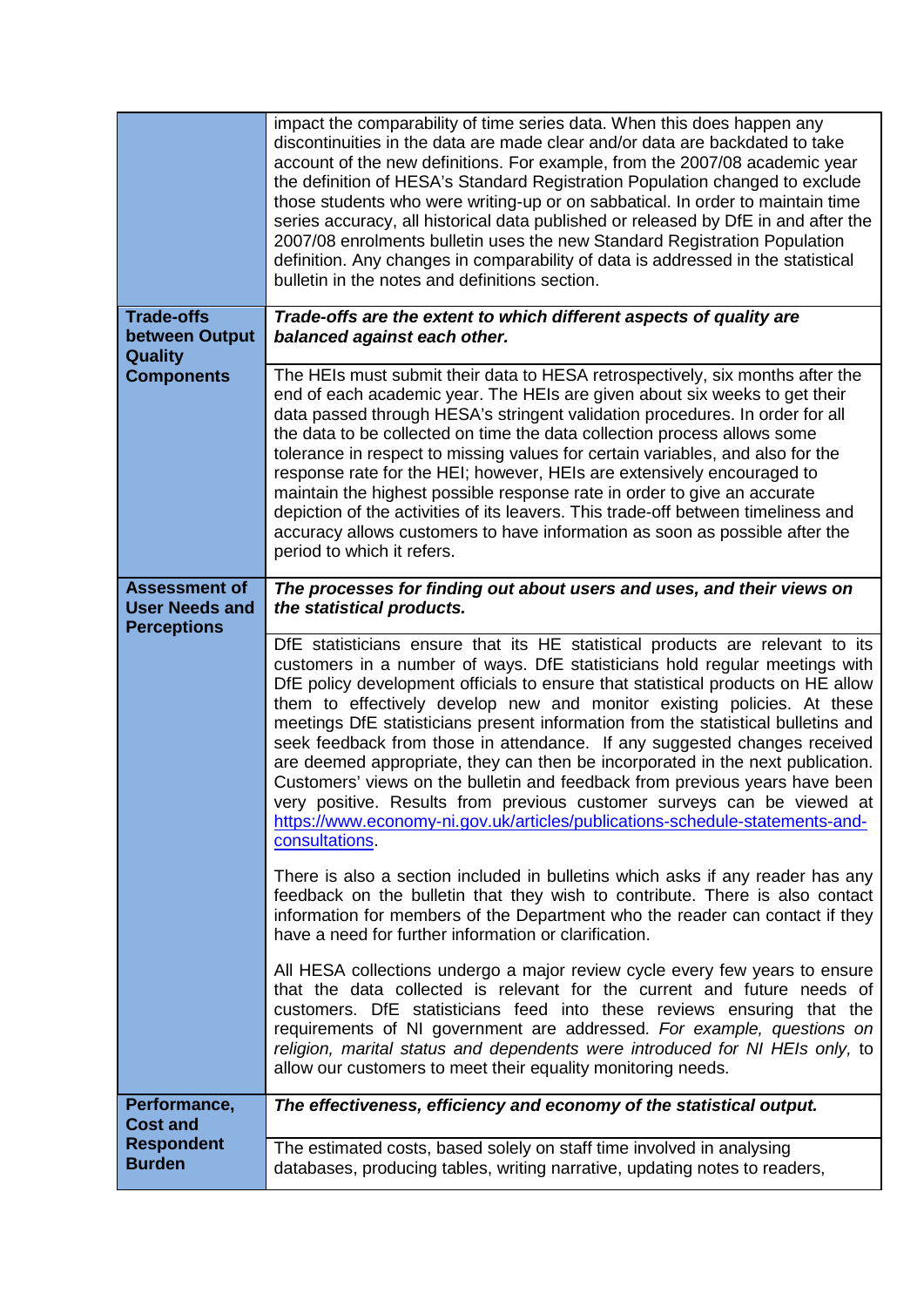|                                                       | impact the comparability of time series data. When this does happen any<br>discontinuities in the data are made clear and/or data are backdated to take<br>account of the new definitions. For example, from the 2007/08 academic year<br>the definition of HESA's Standard Registration Population changed to exclude<br>those students who were writing-up or on sabbatical. In order to maintain time<br>series accuracy, all historical data published or released by DfE in and after the<br>2007/08 enrolments bulletin uses the new Standard Registration Population<br>definition. Any changes in comparability of data is addressed in the statistical<br>bulletin in the notes and definitions section.                                                                                                                          |
|-------------------------------------------------------|--------------------------------------------------------------------------------------------------------------------------------------------------------------------------------------------------------------------------------------------------------------------------------------------------------------------------------------------------------------------------------------------------------------------------------------------------------------------------------------------------------------------------------------------------------------------------------------------------------------------------------------------------------------------------------------------------------------------------------------------------------------------------------------------------------------------------------------------|
| <b>Trade-offs</b><br>between Output<br><b>Quality</b> | Trade-offs are the extent to which different aspects of quality are<br>balanced against each other.                                                                                                                                                                                                                                                                                                                                                                                                                                                                                                                                                                                                                                                                                                                                        |
| <b>Components</b>                                     | The HEIs must submit their data to HESA retrospectively, six months after the<br>end of each academic year. The HEIs are given about six weeks to get their<br>data passed through HESA's stringent validation procedures. In order for all<br>the data to be collected on time the data collection process allows some<br>tolerance in respect to missing values for certain variables, and also for the<br>response rate for the HEI; however, HEIs are extensively encouraged to<br>maintain the highest possible response rate in order to give an accurate<br>depiction of the activities of its leavers. This trade-off between timeliness and<br>accuracy allows customers to have information as soon as possible after the<br>period to which it refers.                                                                          |
| <b>Assessment of</b><br><b>User Needs and</b>         | The processes for finding out about users and uses, and their views on<br>the statistical products.                                                                                                                                                                                                                                                                                                                                                                                                                                                                                                                                                                                                                                                                                                                                        |
| <b>Perceptions</b>                                    | DfE statisticians ensure that its HE statistical products are relevant to its<br>customers in a number of ways. DfE statisticians hold regular meetings with<br>DfE policy development officials to ensure that statistical products on HE allow<br>them to effectively develop new and monitor existing policies. At these<br>meetings DfE statisticians present information from the statistical bulletins and<br>seek feedback from those in attendance. If any suggested changes received<br>are deemed appropriate, they can then be incorporated in the next publication.<br>Customers' views on the bulletin and feedback from previous years have been<br>very positive. Results from previous customer surveys can be viewed at<br>https://www.economy-ni.gov.uk/articles/publications-schedule-statements-and-<br>consultations. |
|                                                       | There is also a section included in bulletins which asks if any reader has any<br>feedback on the bulletin that they wish to contribute. There is also contact<br>information for members of the Department who the reader can contact if they<br>have a need for further information or clarification.                                                                                                                                                                                                                                                                                                                                                                                                                                                                                                                                    |
|                                                       | All HESA collections undergo a major review cycle every few years to ensure<br>that the data collected is relevant for the current and future needs of<br>customers. DfE statisticians feed into these reviews ensuring that the<br>requirements of NI government are addressed. For example, questions on<br>religion, marital status and dependents were introduced for NI HEIs only, to<br>allow our customers to meet their equality monitoring needs.                                                                                                                                                                                                                                                                                                                                                                                 |
| Performance,<br><b>Cost and</b>                       | The effectiveness, efficiency and economy of the statistical output.                                                                                                                                                                                                                                                                                                                                                                                                                                                                                                                                                                                                                                                                                                                                                                       |
| <b>Respondent</b><br><b>Burden</b>                    | The estimated costs, based solely on staff time involved in analysing<br>databases, producing tables, writing narrative, updating notes to readers,                                                                                                                                                                                                                                                                                                                                                                                                                                                                                                                                                                                                                                                                                        |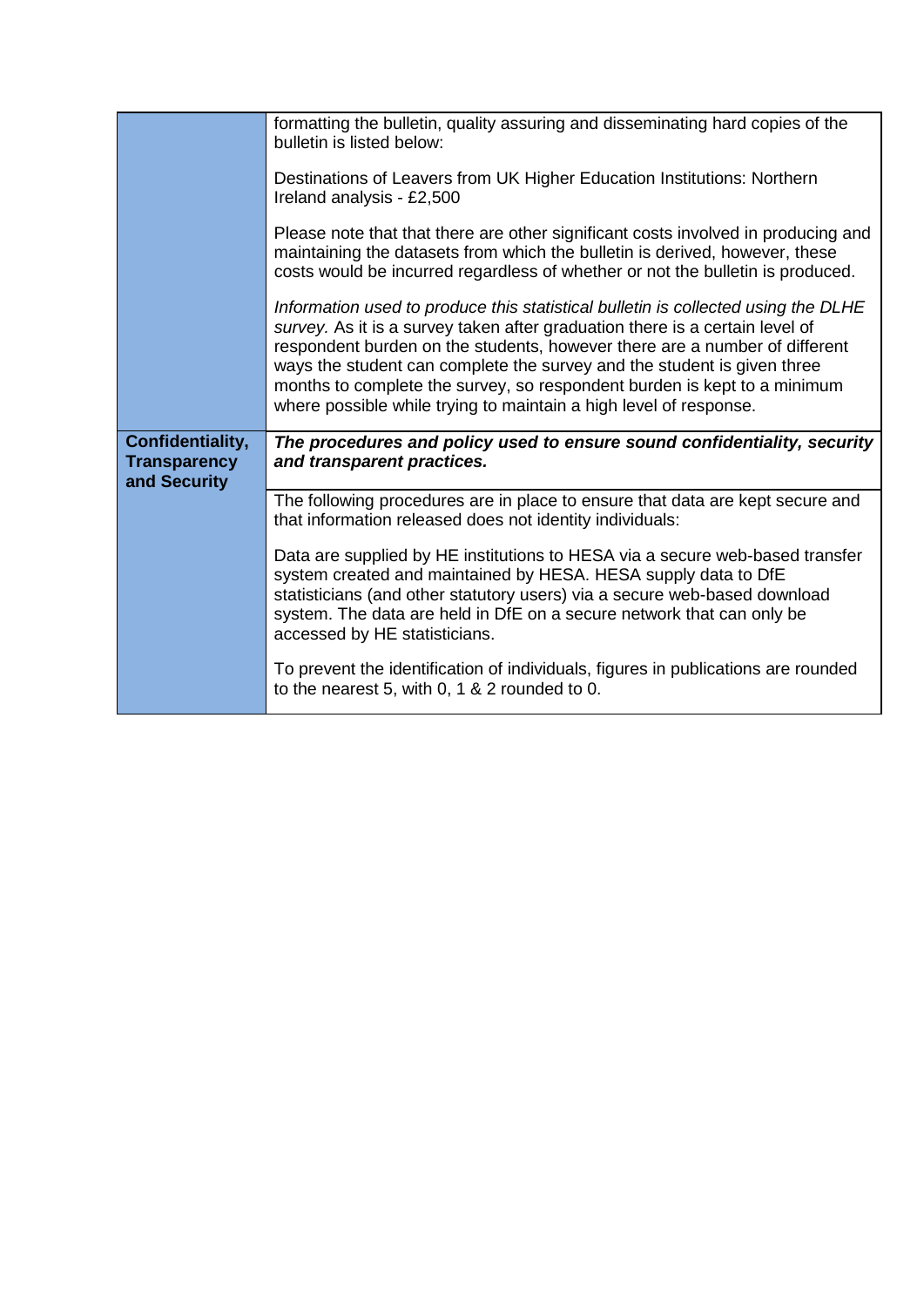|                                                         | formatting the bulletin, quality assuring and disseminating hard copies of the<br>bulletin is listed below:                                                                                                                                                                                                                                                                                                                                                                 |
|---------------------------------------------------------|-----------------------------------------------------------------------------------------------------------------------------------------------------------------------------------------------------------------------------------------------------------------------------------------------------------------------------------------------------------------------------------------------------------------------------------------------------------------------------|
|                                                         | Destinations of Leavers from UK Higher Education Institutions: Northern<br>Ireland analysis - £2,500                                                                                                                                                                                                                                                                                                                                                                        |
|                                                         | Please note that that there are other significant costs involved in producing and<br>maintaining the datasets from which the bulletin is derived, however, these<br>costs would be incurred regardless of whether or not the bulletin is produced.                                                                                                                                                                                                                          |
|                                                         | Information used to produce this statistical bulletin is collected using the DLHE<br>survey. As it is a survey taken after graduation there is a certain level of<br>respondent burden on the students, however there are a number of different<br>ways the student can complete the survey and the student is given three<br>months to complete the survey, so respondent burden is kept to a minimum<br>where possible while trying to maintain a high level of response. |
| Confidentiality,<br><b>Transparency</b><br>and Security | The procedures and policy used to ensure sound confidentiality, security<br>and transparent practices.                                                                                                                                                                                                                                                                                                                                                                      |
|                                                         | The following procedures are in place to ensure that data are kept secure and<br>that information released does not identity individuals:                                                                                                                                                                                                                                                                                                                                   |
|                                                         | Data are supplied by HE institutions to HESA via a secure web-based transfer<br>system created and maintained by HESA. HESA supply data to DfE<br>statisticians (and other statutory users) via a secure web-based download<br>system. The data are held in DfE on a secure network that can only be<br>accessed by HE statisticians.                                                                                                                                       |
|                                                         | To prevent the identification of individuals, figures in publications are rounded<br>to the nearest 5, with 0, 1 & 2 rounded to 0.                                                                                                                                                                                                                                                                                                                                          |